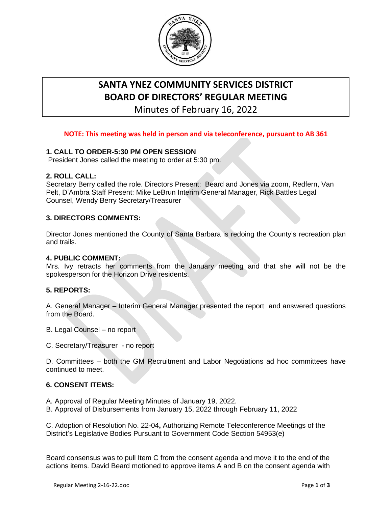

# **SANTA YNEZ COMMUNITY SERVICES DISTRICT BOARD OF DIRECTORS' REGULAR MEETING**

Minutes of February 16, 2022

# **NOTE: This meeting was held in person and via [teleconference,](https://www.yolocounty.org/general-government/board-of-supervisors/board-meetings/board-of-supervisors-meeting-live-streaming) pursuant to AB 361**

# **1. CALL TO ORDER-5:30 PM OPEN SESSION**

President Jones called the meeting to order at 5:30 pm.

## **2. ROLL CALL:**

Secretary Berry called the role. Directors Present: Beard and Jones via zoom, Redfern, Van Pelt, D'Ambra Staff Present: Mike LeBrun Interim General Manager, Rick Battles Legal Counsel, Wendy Berry Secretary/Treasurer

## **3. DIRECTORS COMMENTS:**

Director Jones mentioned the County of Santa Barbara is redoing the County's recreation plan and trails.

## **4. PUBLIC COMMENT:**

Mrs. Ivy retracts her comments from the January meeting and that she will not be the spokesperson for the Horizon Drive residents.

## **5. REPORTS:**

A. General Manager – Interim General Manager presented the report and answered questions from the Board.

- B. Legal Counsel no report
- C. Secretary/Treasurer no report

D. Committees – both the GM Recruitment and Labor Negotiations ad hoc committees have continued to meet.

#### **6. CONSENT ITEMS:**

- A. Approval of Regular Meeting Minutes of January 19, 2022.
- B. Approval of Disbursements from January 15, 2022 through February 11, 2022

C. Adoption of Resolution No. 22-04**,** Authorizing Remote Teleconference Meetings of the District's Legislative Bodies Pursuant to Government Code Section 54953(e)

Board consensus was to pull Item C from the consent agenda and move it to the end of the actions items. David Beard motioned to approve items A and B on the consent agenda with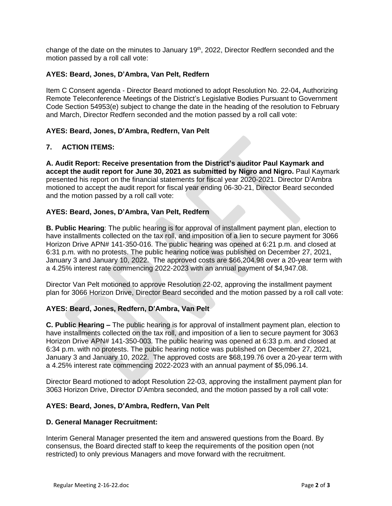change of the date on the minutes to January 19<sup>th</sup>, 2022, Director Redfern seconded and the motion passed by a roll call vote:

## **AYES: Beard, Jones, D'Ambra, Van Pelt, Redfern**

Item C Consent agenda - Director Beard motioned to adopt Resolution No. 22-04**,** Authorizing Remote Teleconference Meetings of the District's Legislative Bodies Pursuant to Government Code Section 54953(e) subject to change the date in the heading of the resolution to February and March, Director Redfern seconded and the motion passed by a roll call vote:

#### **AYES: Beard, Jones, D'Ambra, Redfern, Van Pelt**

#### **7. ACTION ITEMS:**

**A. Audit Report: Receive presentation from the District's auditor Paul Kaymark and accept the audit report for June 30, 2021 as submitted by Nigro and Nigro.** Paul Kaymark presented his report on the financial statements for fiscal year 2020-2021. Director D'Ambra motioned to accept the audit report for fiscal year ending 06-30-21, Director Beard seconded and the motion passed by a roll call vote:

#### **AYES: Beard, Jones, D'Ambra, Van Pelt, Redfern**

**B. Public Hearing**: The public hearing is for approval of installment payment plan, election to have installments collected on the tax roll, and imposition of a lien to secure payment for 3066 Horizon Drive APN# 141-350-016. The public hearing was opened at 6:21 p.m. and closed at 6:31 p.m. with no protests. The public hearing notice was published on December 27, 2021, January 3 and January 10, 2022. The approved costs are \$66,204.98 over a 20-year term with a 4.25% interest rate commencing 2022-2023 with an annual payment of \$4,947.08.

Director Van Pelt motioned to approve Resolution 22-02, approving the installment payment plan for 3066 Horizon Drive, Director Beard seconded and the motion passed by a roll call vote:

## **AYES: Beard, Jones, Redfern, D'Ambra, Van Pelt**

**C. Public Hearing –** The public hearing is for approval of installment payment plan, election to have installments collected on the tax roll, and imposition of a lien to secure payment for 3063 Horizon Drive APN# 141-350-003. The public hearing was opened at 6:33 p.m. and closed at 6:34 p.m. with no protests. The public hearing notice was published on December 27, 2021, January 3 and January 10, 2022. The approved costs are \$68,199.76 over a 20-year term with a 4.25% interest rate commencing 2022-2023 with an annual payment of \$5,096.14.

Director Beard motioned to adopt Resolution 22-03, approving the installment payment plan for 3063 Horizon Drive, Director D'Ambra seconded, and the motion passed by a roll call vote:

#### **AYES: Beard, Jones, D'Ambra, Redfern, Van Pelt**

#### **D. General Manager Recruitment:**

Interim General Manager presented the item and answered questions from the Board. By consensus, the Board directed staff to keep the requirements of the position open (not restricted) to only previous Managers and move forward with the recruitment.